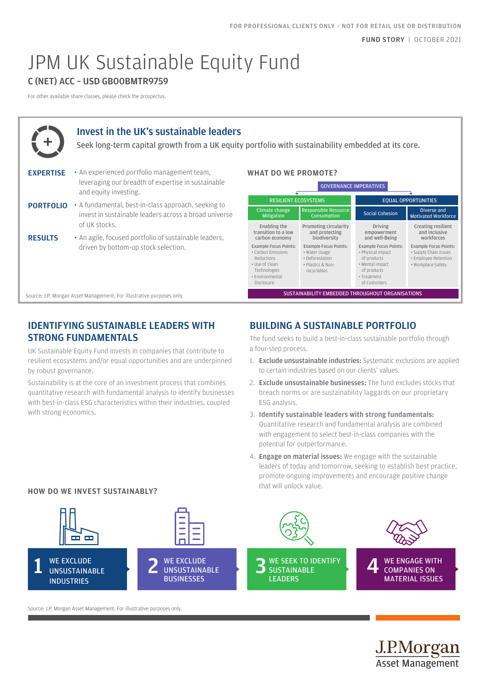# JPM UK Sustainable Equity Fund

## C (NET) ACC – USD GB00BMTR9759

For other available share classes, please check the prospectus.



## Invest in the UK's sustainable leaders

Seek long-term capital growth from a UK equity portfolio with sustainability embedded at its core.

- EXPERTISE An experienced portfolio management team, leveraging our breadth of expertise in sustainable and equity investing.
- PORTFOLIO A fundamental, best-in-class approach, seeking to invest in sustainable leaders across a broad universe of UK stocks.
- RESULTS An agile, focused portfolio of sustainable leaders, driven by bottom-up stock selection.

### WHAT DO WE PROMOTE?

| <b>GOVERNANCE IMPERATIVES</b>                                                                                                       |                                                                                                      |  |                                                                                                                                   |                                                                                                     |  |
|-------------------------------------------------------------------------------------------------------------------------------------|------------------------------------------------------------------------------------------------------|--|-----------------------------------------------------------------------------------------------------------------------------------|-----------------------------------------------------------------------------------------------------|--|
| <b>RESILIENT ECOSYSTEMS</b>                                                                                                         |                                                                                                      |  | <b>EQUAL OPPORTUNITIES</b>                                                                                                        |                                                                                                     |  |
| Climate change<br><b>Mitigation</b>                                                                                                 | <b>Responsible Resource</b><br>Consumption                                                           |  | Social Cohesion                                                                                                                   | Diverse and<br><b>Motivated Workforce</b>                                                           |  |
| Enabling the<br>transition to a low<br>carbon economy                                                                               | Promoting circularity<br>and protecting<br>biodiversity                                              |  | <b>Driving</b><br>empowerment<br>and well-Being                                                                                   | Creating resilient<br>and inclusive<br>workforces                                                   |  |
| <b>Example Focus Points:</b><br>• Carbon Emissions<br>Reductions<br>• Use of Clean<br>Technologies<br>· Environmental<br>Disclosure | <b>Example Focus Points:</b><br>• Water Usage<br>• Deforestation<br>· Plastics & Non-<br>recyclables |  | <b>Example Focus Points:</b><br>• Physical impact<br>of products<br>• Mental impact<br>of products<br>• Treatment<br>of Customers | <b>Example Focus Points:</b><br>· Supply Chain Issues<br>· Employee Retention<br>· Workplace Safety |  |
| SUSTAINABILITY EMBEDDED THROUGHOUT ORGANISATIONS                                                                                    |                                                                                                      |  |                                                                                                                                   |                                                                                                     |  |

## IDENTIFYING SUSTAINABLE LEADERS WITH STRONG FUNDAMENTALS

Source: J.P. Morgan Asset Management. For illustrative purposes only.

UK Sustainable Equity Fund invests in companies that contribute to resilient ecosystems and/or equal opportunities and are underpinned by robust governance.

Sustainability is at the core of an investment process that combines quantitative research with fundamental analysis to identify businesses with best-in-class ESG characteristics within their industries, coupled with strong economics.

# BUILDING A SUSTAINABLE PORTFOLIO

The fund seeks to build a best-in-class sustainable portfolio through a four-step process.

- 1. Exclude unsustainable industries: Systematic exclusions are applied to certain industries based on our clients' values.
- 2. **Exclude unsustainable businesses:** The fund excludes stocks that breach norms or are sustainability laggards on our proprietary ESG analysis.
- 3. Identify sustainable leaders with strong fundamentals: Quantitative research and fundamental analysis are combined with engagement to select best-in-class companies with the potential for outperformance.
- 4. Engage on material issues: We engage with the sustainable leaders of today and tomorrow, seeking to establish best practice, promote ongoing improvements and encourage positive change that will unlock value.

<u>J.P.Morgan</u> **Asset Management** 



Source: J.P. Morgan Asset Management. For illustrative purposes only.

HOW DO WE INVEST SUSTAINABLY?